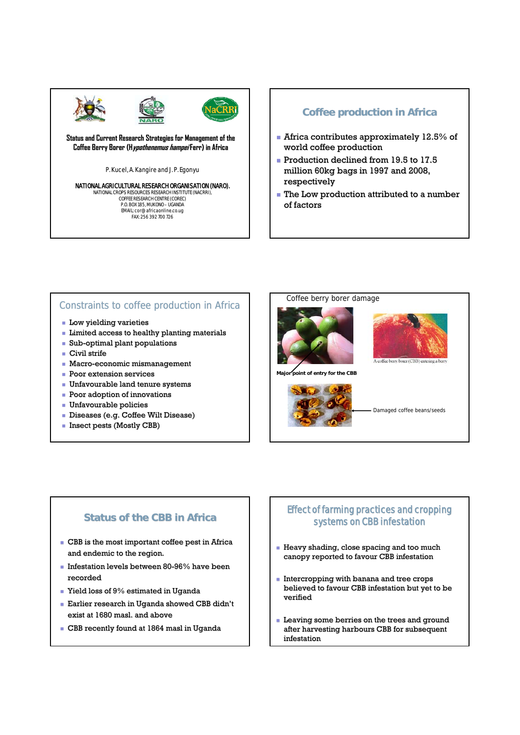

**Status and Current Research Strategies for Management of the Coffee Berry Borer ( Coffee Berry (Hypothenemus ypothenemushampei Ferr) in Africa ) Africa**

P. Kucel, A. Kangire and J. P. Egonyu

# **NATIONAL AGRICULTURAL RESEARCH ORGANISATION (NARO).**<br>NATIONAL CROPS RESOURCES RESEARCH INSTITUTE (NACRRI),<br>COFFEE RESEARCH CENTRE (COREC)

P.O. BOX 185, MUKONO – UGANDA<br>EMAIL: cor@ africaonline.co.ug<br>FAX: 256 392 700 726

#### **Coffee production in Africa**

- $\blacksquare$  Africa contributes approximately 12.5% of world coffee production
- Production declined from  $19.5$  to  $17.5$ million 60kg bags in 1997 and 2008, respectively
- $\blacksquare$  The Low production attributed to a number of factors

#### Constraints to coffee production in Africa

- **Low yielding varieties**
- **Limited access to healthy planting materials**
- Sub-optimal plant populations
- Civil strife
- $Macco-economic$  mismanagement
- **Poor extension services**
- **Unfavourable land tenure systems**
- Poor adoption of innovations
- Unfavourable policies
- $\blacksquare$  Diseases (e.g. Coffee Wilt Disease)
- **Insect pests (Mostly CBB)**



**Major point of entry for the CBB**





Damaged coffee beans/seeds

#### **Status of the CBB in Africa**

- $\blacksquare$  CBB is the most important coffee pest in Africa and endemic to the region.
- Infestation levels between 80-96% have been recorded
- Yield loss of 9% estimated in Uganda
- **Earlier research in Uganda showed CBB didn't** exist at 1680 masl. and above
- $\blacksquare$  CBB recently found at 1864 masl in Uganda

#### Effect of farming practices and cropping Effect of farming practices and cropping systems on CBB infestation

- $\blacksquare$  Heavy shading, close spacing and too much canopy reported to favour CBB infestation
- $\blacksquare$  Intercropping with banana and tree crops believed to favour CBB infestation but yet to be verified
- $\blacksquare$  Leaving some berries on the trees and ground after harvesting harbours CBB for subsequent infestation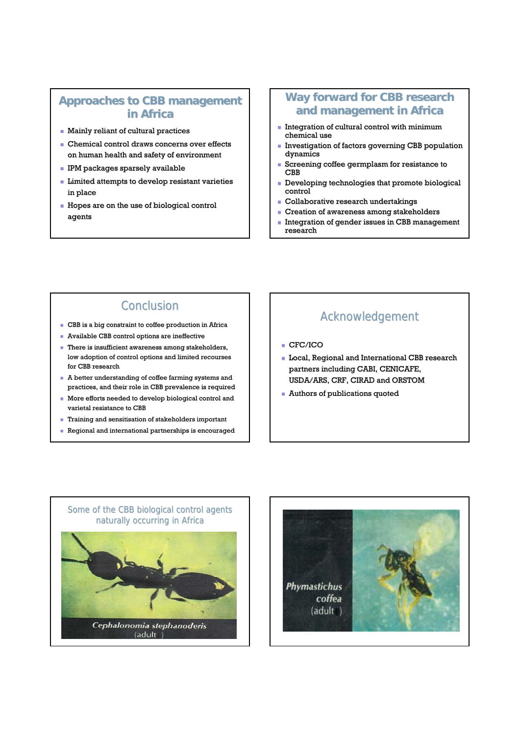### **Approaches to CBB management in Africa**

- **Mainly reliant of cultural practices**
- $\blacksquare$  Chemical control draws concerns over effects on human health and safety of environment
- **IPM** packages sparsely available
- $\blacksquare$  Limited attempts to develop resistant varieties in place
- $\blacksquare$  Hopes are on the use of biological control agents

## **Way forward for CBB research and management in Africa**

- $\blacksquare$  Integration of cultural control with minimum chemical use
- $\blacksquare$  Investigation of factors governing CBB population dynamics
- Screening coffee germplasm for resistance to CBB
- Developing technologies that promote biological Developing technologies that promote biological control
- Collaborative research undertakings
- **Creation of awareness among stakeholders**
- **Integration of gender issues in CBB management** research

# **Conclusion**

- CBB is a big constraint to coffee production in Africa
- Available CBB control options are ineffective
- **There is insufficient awareness among stakeholders,** low adoption of control options and limited recourses for CBB research
- $\blacksquare$  A better understanding of coffee farming systems and practices, and their role in CBB prevalence is required
- $\blacksquare$  More efforts needed to develop biological control and varietal resistance to CBB
- $\blacksquare$  Training and sensitisation of stakeholders important
- Regional and international partnerships is encouraged

# Acknowledgement

- CFC/ICO
- **Local, Regional and International CBB research** partners including CABI, CENICAFE, USDA/ARS, CRF, CIRAD and ORSTOM
- **Authors of publications quoted**